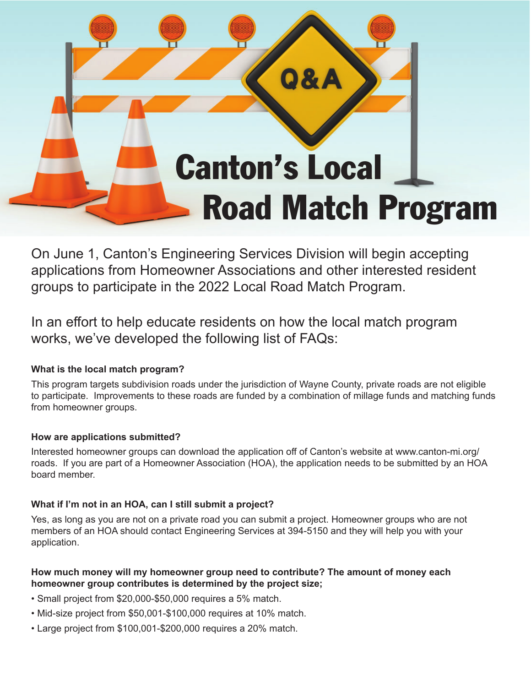

On June 1, Canton's Engineering Services Division will begin accepting applications from Homeowner Associations and other interested resident groups to participate in the 2022 Local Road Match Program.

In an effort to help educate residents on how the local match program works, we've developed the following list of FAQs:

# **What is the local match program?**

This program targets subdivision roads under the jurisdiction of Wayne County, private roads are not eligible to participate. Improvements to these roads are funded by a combination of millage funds and matching funds from homeowner groups.

# **How are applications submitted?**

Interested homeowner groups can download the application off of Canton's website at www.canton-mi.org/ roads. If you are part of a Homeowner Association (HOA), the application needs to be submitted by an HOA board member.

# **What if I'm not in an HOA, can I still submit a project?**

Yes, as long as you are not on a private road you can submit a project. Homeowner groups who are not members of an HOA should contact Engineering Services at 394-5150 and they will help you with your application.

# **How much money will my homeowner group need to contribute? The amount of money each homeowner group contributes is determined by the project size;**

- Small project from \$20,000-\$50,000 requires a 5% match.
- Mid-size project from \$50,001-\$100,000 requires at 10% match.
- Large project from \$100,001-\$200,000 requires a 20% match.